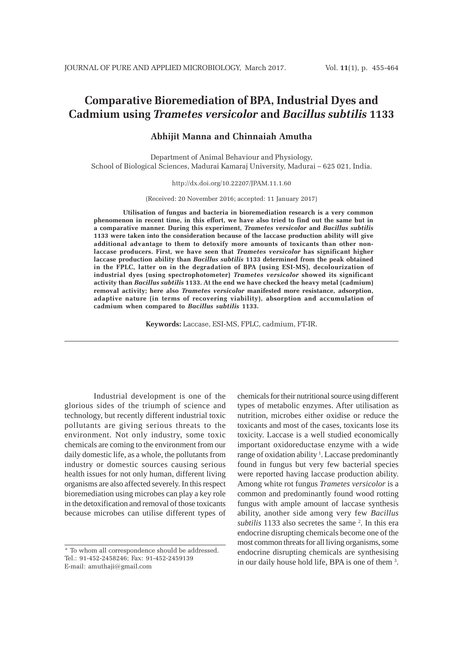# **Comparative Bioremediation of BPA, Industrial Dyes and Cadmium using** *Trametes versicolor* **and** *Bacillus subtilis* **1133**

# **Abhijit Manna and Chinnaiah Amutha**

Department of Animal Behaviour and Physiology, School of Biological Sciences, Madurai Kamaraj University, Madurai – 625 021, India.

### http://dx.doi.org/10.22207/JPAM.11.1.60

(Received: 20 November 2016; accepted: 11 January 2017)

**Utilisation of fungus and bacteria in bioremediation research is a very common phenomenon in recent time, in this effort, we have also tried to find out the same but in a comparative manner. During this experiment,** *Trametes versicolor* **and** *Bacillus subtilis* **1133 were taken into the consideration because of the laccase production ability will give additional advantage to them to detoxify more amounts of toxicants than other nonlaccase producers. First, we have seen that** *Trametes versicolor* **has significant higher laccase production ability than** *Bacillus subtilis* **1133 determined from the peak obtained in the FPLC, latter on in the degradation of BPA (using ESI-MS), decolourization of industrial dyes (using spectrophotometer)** *Trametes versicolor* **showed its significant activity than** *Bacillus subtilis* **1133. At the end we have checked the heavy metal (cadmium) removal activity; here also** *Trametes versicolor* **manifested more resistance, adsorption, adaptive nature (in terms of recovering viability), absorption and accumulation of cadmium when compared to** *Bacillus subtilis* **1133.**

**Keywords:** Laccase, ESI-MS, FPLC, cadmium, FT-IR.

Industrial development is one of the glorious sides of the triumph of science and technology, but recently different industrial toxic pollutants are giving serious threats to the environment. Not only industry, some toxic chemicals are coming to the environment from our daily domestic life, as a whole, the pollutants from industry or domestic sources causing serious health issues for not only human, different living organisms are also affected severely. In this respect bioremediation using microbes can play a key role in the detoxification and removal of those toxicants because microbes can utilise different types of

chemicals for their nutritional source using different types of metabolic enzymes. After utilisation as nutrition, microbes either oxidise or reduce the toxicants and most of the cases, toxicants lose its toxicity. Laccase is a well studied economically important oxidoreductase enzyme with a wide range of oxidation ability<sup>1</sup>. Laccase predominantly found in fungus but very few bacterial species were reported having laccase production ability. Among white rot fungus *Trametes versicolor* is a common and predominantly found wood rotting fungus with ample amount of laccase synthesis ability, another side among very few *Bacillus* subtilis 1133 also secretes the same <sup>2</sup>. In this era endocrine disrupting chemicals become one of the most common threats for all living organisms, some endocrine disrupting chemicals are synthesising in our daily house hold life, BPA is one of them<sup>3</sup>.

<sup>\*</sup> To whom all correspondence should be addressed. Tel.: 91-452-2458246; Fax: 91-452-2459139 E-mail: amuthaji@gmail.com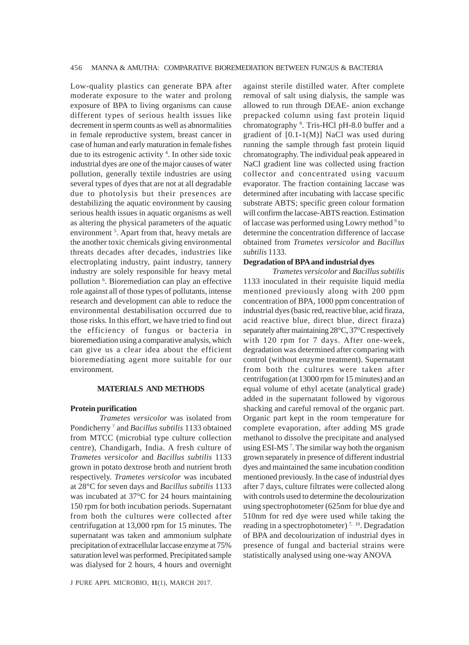Low-quality plastics can generate BPA after moderate exposure to the water and prolong exposure of BPA to living organisms can cause different types of serious health issues like decrement in sperm counts as well as abnormalities in female reproductive system, breast cancer in case of human and early maturation in female fishes due to its estrogenic activity 4 . In other side toxic industrial dyes are one of the major causes of water pollution, generally textile industries are using several types of dyes that are not at all degradable due to photolysis but their presences are destabilizing the aquatic environment by causing serious health issues in aquatic organisms as well as altering the physical parameters of the aquatic environment<sup>5</sup>. Apart from that, heavy metals are the another toxic chemicals giving environmental threats decades after decades, industries like electroplating industry, paint industry, tannery industry are solely responsible for heavy metal pollution 6 . Bioremediation can play an effective role against all of those types of pollutants, intense research and development can able to reduce the environmental destabilisation occurred due to those risks. In this effort, we have tried to find out the efficiency of fungus or bacteria in bioremediation using a comparative analysis, which can give us a clear idea about the efficient bioremediating agent more suitable for our environment.

## **MATERIALS AND METHODS**

## **Protein purification**

*Trametes versicolor* was isolated from Pondicherry 7 and *Bacillus subtilis* 1133 obtained from MTCC (microbial type culture collection centre), Chandigarh, India. A fresh culture of *Trametes versicolor* and *Bacillus subtilis* 1133 grown in potato dextrose broth and nutrient broth respectively. *Trametes versicolor* was incubated at 28°C for seven days and *Bacillus subtilis* 1133 was incubated at 37°C for 24 hours maintaining 150 rpm for both incubation periods. Supernatant from both the cultures were collected after centrifugation at 13,000 rpm for 15 minutes. The supernatant was taken and ammonium sulphate precipitation of extracellular laccase enzyme at 75% saturation level was performed. Precipitated sample was dialysed for 2 hours, 4 hours and overnight

J PURE APPL MICROBIO*,* **11**(1), MARCH 2017.

against sterile distilled water. After complete removal of salt using dialysis, the sample was allowed to run through DEAE- anion exchange prepacked column using fast protein liquid chromatography <sup>8</sup>. Tris-HCl pH-8.0 buffer and a gradient of [0.1-1(M)] NaCl was used during running the sample through fast protein liquid chromatography. The individual peak appeared in NaCl gradient line was collected using fraction collector and concentrated using vacuum evaporator. The fraction containing laccase was determined after incubating with laccase specific substrate ABTS; specific green colour formation will confirm the laccase-ABTS reaction. Estimation of laccase was performed using Lowry method<sup>9</sup> to determine the concentration difference of laccase obtained from *Trametes versicolor* and *Bacillus subtilis* 1133.

#### **Degradation of BPA and industrial dyes**

*Trametes versicolor* and *Bacillus subtilis* 1133 inoculated in their requisite liquid media mentioned previously along with 200 ppm concentration of BPA, 1000 ppm concentration of industrial dyes (basic red, reactive blue, acid firaza, acid reactive blue, direct blue, direct firaza) separately after maintaining 28°C, 37°C respectively with 120 rpm for 7 days. After one-week, degradation was determined after comparing with control (without enzyme treatment). Supernatant from both the cultures were taken after centrifugation (at 13000 rpm for 15 minutes) and an equal volume of ethyl acetate (analytical grade) added in the supernatant followed by vigorous shacking and careful removal of the organic part. Organic part kept in the room temperature for complete evaporation, after adding MS grade methanol to dissolve the precipitate and analysed using ESI-MS<sup>7</sup>. The similar way both the organism grown separately in presence of different industrial dyes and maintained the same incubation condition mentioned previously. In the case of industrial dyes after 7 days, culture filtrates were collected along with controls used to determine the decolourization using spectrophotometer (625nm for blue dye and 510nm for red dye were used while taking the reading in a spectrophotometer)<sup>7, 10</sup>. Degradation of BPA and decolourization of industrial dyes in presence of fungal and bacterial strains were statistically analysed using one-way ANOVA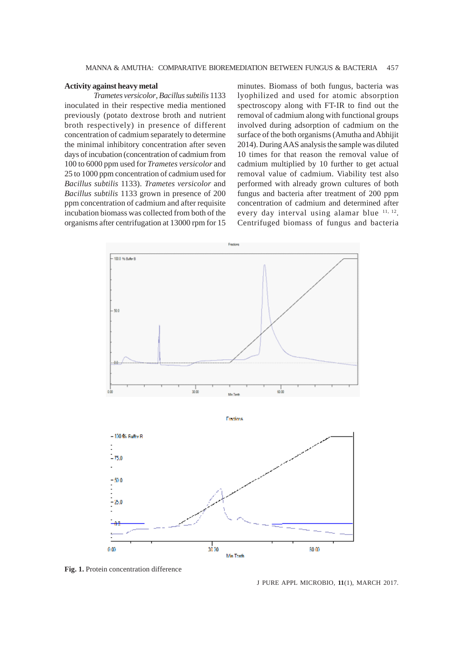## **Activity against heavy metal**

*Trametes versicolor*, *Bacillus subtilis* 1133 inoculated in their respective media mentioned previously (potato dextrose broth and nutrient broth respectively) in presence of different concentration of cadmium separately to determine the minimal inhibitory concentration after seven days of incubation (concentration of cadmium from 100 to 6000 ppm used for *Trametes versicolor* and 25 to 1000 ppm concentration of cadmium used for *Bacillus subtilis* 1133). *Trametes versicolor* and *Bacillus subtilis* 1133 grown in presence of 200 ppm concentration of cadmium and after requisite incubation biomass was collected from both of the organisms after centrifugation at 13000 rpm for 15

minutes. Biomass of both fungus, bacteria was lyophilized and used for atomic absorption spectroscopy along with FT-IR to find out the removal of cadmium along with functional groups involved during adsorption of cadmium on the surface of the both organisms (Amutha and Abhijit 2014). During AAS analysis the sample was diluted 10 times for that reason the removal value of cadmium multiplied by 10 further to get actual removal value of cadmium. Viability test also performed with already grown cultures of both fungus and bacteria after treatment of 200 ppm concentration of cadmium and determined after every day interval using alamar blue  $11, 12$ . Centrifuged biomass of fungus and bacteria



 $30.00$ 

Mix Truck

**Fig. 1.** Protein concentration difference

0m

J PURE APPL MICROBIO*,* **11**(1), MARCH 2017.

ra m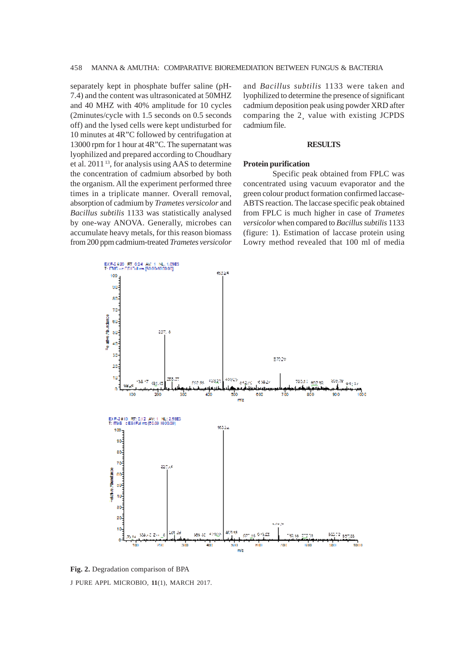separately kept in phosphate buffer saline (pH-7.4) and the content was ultrasonicated at 50MHZ and 40 MHZ with 40% amplitude for 10 cycles (2minutes/cycle with 1.5 seconds on 0.5 seconds off) and the lysed cells were kept undisturbed for 10 minutes at 4R"C followed by centrifugation at 13000 rpm for 1 hour at 4R"C. The supernatant was lyophilized and prepared according to Choudhary et al. 2011 13, for analysis using AAS to determine the concentration of cadmium absorbed by both the organism. All the experiment performed three times in a triplicate manner. Overall removal, absorption of cadmium by *Trametes versicolor* and *Bacillus subtilis* 1133 was statistically analysed by one-way ANOVA. Generally, microbes can accumulate heavy metals, for this reason biomass from 200 ppm cadmium-treated *Trametes versicolor*

and *Bacillus subtilis* 1133 were taken and lyophilized to determine the presence of significant cadmium deposition peak using powder XRD after comparing the 2¸ value with existing JCPDS cadmium file.

#### **RESULTS**

#### **Protein purification**

Specific peak obtained from FPLC was concentrated using vacuum evaporator and the green colour product formation confirmed laccase-ABTS reaction. The laccase specific peak obtained from FPLC is much higher in case of *Trametes versicolor* when compared to *Bacillus subtilis* 1133 (figure: 1). Estimation of laccase protein using Lowry method revealed that 100 ml of media



J PURE APPL MICROBIO*,* **11**(1), MARCH 2017. **Fig. 2.** Degradation comparison of BPA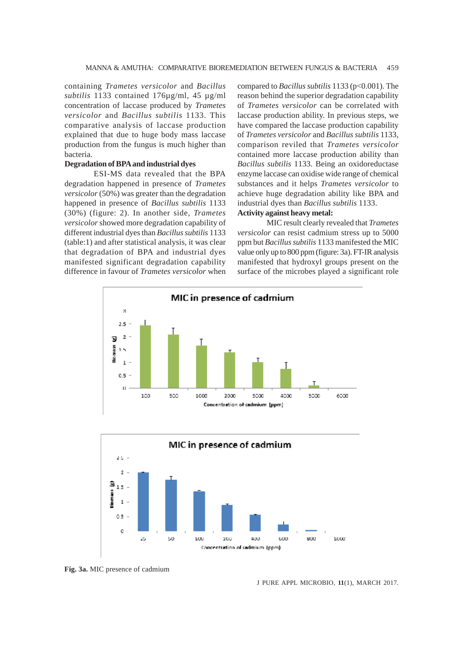containing *Trametes versicolor* and *Bacillus subtilis* 1133 contained 176µg/ml, 45 µg/ml concentration of laccase produced by *Trametes versicolor* and *Bacillus subtilis* 1133. This comparative analysis of laccase production explained that due to huge body mass laccase production from the fungus is much higher than bacteria.

# **Degradation of BPA and industrial dyes**

ESI-MS data revealed that the BPA degradation happened in presence of *Trametes versicolor* (50%) was greater than the degradation happened in presence of *Bacillus subtilis* 1133 (30%) (figure: 2). In another side, *Trametes versicolor* showed more degradation capability of different industrial dyes than *Bacillus subtilis* 1133 (table:1) and after statistical analysis, it was clear that degradation of BPA and industrial dyes manifested significant degradation capability difference in favour of *Trametes versicolor* when

compared to *Bacillus subtilis* 1133 (p<0.001). The reason behind the superior degradation capability of *Trametes versicolor* can be correlated with laccase production ability. In previous steps, we have compared the laccase production capability of *Trametes versicolor* and *Bacillus subtilis* 1133, comparison reviled that *Trametes versicolor* contained more laccase production ability than *Bacillus subtilis* 1133. Being an oxidoreductase enzyme laccase can oxidise wide range of chemical substances and it helps *Trametes versicolor* to achieve huge degradation ability like BPA and industrial dyes than *Bacillus subtilis* 1133.

# **Activity against heavy metal:**

MIC result clearly revealed that *Trametes versicolor* can resist cadmium stress up to 5000 ppm but *Bacillus subtilis* 1133 manifested the MIC value only up to 800 ppm (figure: 3a). FT-IR analysis manifested that hydroxyl groups present on the surface of the microbes played a significant role





**Fig. 3a.** MIC presence of cadmium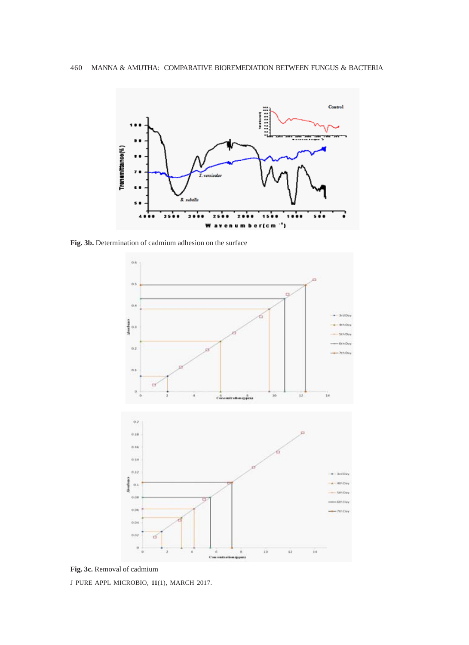

**Fig. 3b.** Determination of cadmium adhesion on the surface



**Fig. 3c.** Removal of cadmium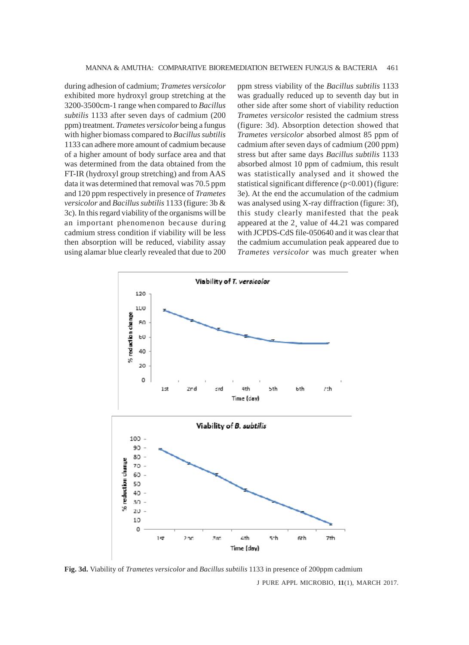during adhesion of cadmium; *Trametes versicolor* exhibited more hydroxyl group stretching at the 3200-3500cm-1 range when compared to *Bacillus subtilis* 1133 after seven days of cadmium (200 ppm) treatment. *Trametes versicolor* being a fungus with higher biomass compared to *Bacillus subtilis* 1133 can adhere more amount of cadmium because of a higher amount of body surface area and that was determined from the data obtained from the FT-IR (hydroxyl group stretching) and from AAS data it was determined that removal was 70.5 ppm and 120 ppm respectively in presence of *Trametes versicolor* and *Bacillus subtilis* 1133 (figure: 3b & 3c). In this regard viability of the organisms will be an important phenomenon because during cadmium stress condition if viability will be less then absorption will be reduced, viability assay using alamar blue clearly revealed that due to 200 ppm stress viability of the *Bacillus subtilis* 1133 was gradually reduced up to seventh day but in other side after some short of viability reduction *Trametes versicolor* resisted the cadmium stress (figure: 3d). Absorption detection showed that *Trametes versicolor* absorbed almost 85 ppm of cadmium after seven days of cadmium (200 ppm) stress but after same days *Bacillus subtilis* 1133 absorbed almost 10 ppm of cadmium, this result was statistically analysed and it showed the statistical significant difference (p<0.001) (figure: 3e). At the end the accumulation of the cadmium was analysed using X-ray diffraction (figure: 3f), this study clearly manifested that the peak appeared at the 2¸ value of 44.21 was compared with JCPDS-CdS file-050640 and it was clear that the cadmium accumulation peak appeared due to *Trametes versicolor* was much greater when



**Fig. 3d.** Viability of *Trametes versicolor* and *Bacillus subtilis* 1133 in presence of 200ppm cadmium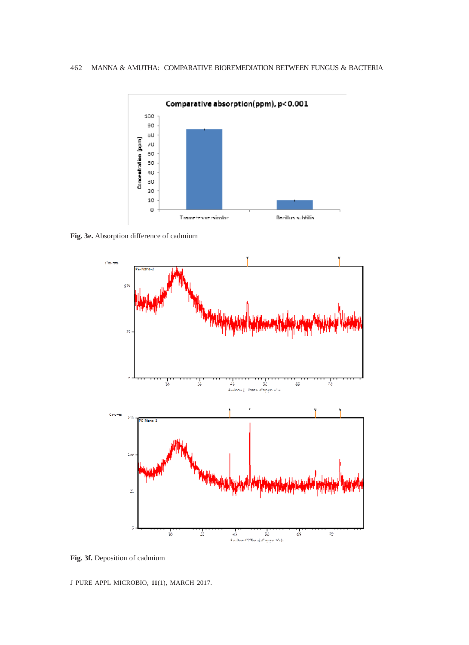

**Fig. 3e.** Absorption difference of cadmium



**Fig. 3f.** Deposition of cadmium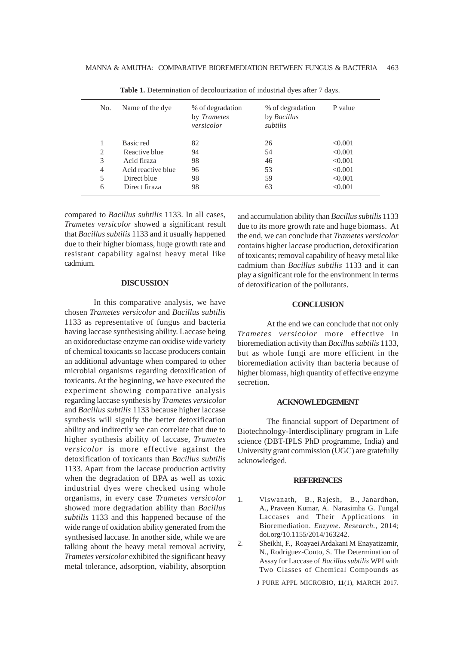| No.            | Name of the dye    | % of degradation<br>by <i>Trametes</i><br>versicolor | % of degradation<br>by Bacillus<br>subtilis | P value |
|----------------|--------------------|------------------------------------------------------|---------------------------------------------|---------|
|                | Basic red          | 82                                                   | 26                                          | < 0.001 |
| 2              | Reactive blue      | 94                                                   | 54                                          | < 0.001 |
| 3              | Acid firaza        | 98                                                   | 46                                          | < 0.001 |
| $\overline{4}$ | Acid reactive blue | 96                                                   | 53                                          | < 0.001 |
| 5              | Direct blue        | 98                                                   | 59                                          | < 0.001 |
| 6              | Direct firaza      | 98                                                   | 63                                          | < 0.001 |
|                |                    |                                                      |                                             |         |

Table 1. Determination of decolourization of industrial dyes after 7 days.

compared to *Bacillus subtilis* 1133. In all cases, *Trametes versicolor* showed a significant result that *Bacillus subtilis* 1133 and it usually happened due to their higher biomass, huge growth rate and resistant capability against heavy metal like cadmium.

#### **DISCUSSION**

In this comparative analysis, we have chosen *Trametes versicolor* and *Bacillus subtilis* 1133 as representative of fungus and bacteria having laccase synthesising ability. Laccase being an oxidoreductase enzyme can oxidise wide variety of chemical toxicants so laccase producers contain an additional advantage when compared to other microbial organisms regarding detoxification of toxicants. At the beginning, we have executed the experiment showing comparative analysis regarding laccase synthesis by *Trametes versicolor* and *Bacillus subtilis* 1133 because higher laccase synthesis will signify the better detoxification ability and indirectly we can correlate that due to higher synthesis ability of laccase, *Trametes versicolor* is more effective against the detoxification of toxicants than *Bacillus subtilis* 1133. Apart from the laccase production activity when the degradation of BPA as well as toxic industrial dyes were checked using whole organisms, in every case *Trametes versicolor* showed more degradation ability than *Bacillus subtilis* 1133 and this happened because of the wide range of oxidation ability generated from the synthesised laccase. In another side, while we are talking about the heavy metal removal activity, *Trametes versicolor* exhibited the significant heavy metal tolerance, adsorption, viability, absorption

and accumulation ability than *Bacillus subtilis* 1133 due to its more growth rate and huge biomass. At the end, we can conclude that *Trametes versicolor* contains higher laccase production, detoxification of toxicants; removal capability of heavy metal like cadmium than *Bacillus subtilis* 1133 and it can play a significant role for the environment in terms of detoxification of the pollutants.

# **CONCLUSION**

At the end we can conclude that not only *Trametes versicolor* more effective in bioremediation activity than *Bacillus subtilis* 1133, but as whole fungi are more efficient in the bioremediation activity than bacteria because of higher biomass, high quantity of effective enzyme secretion.

# **ACKNOWLEDGEMENT**

The financial support of Department of Biotechnology-Interdisciplinary program in Life science (DBT-IPLS PhD programme, India) and University grant commission (UGC) are gratefully acknowledged.

# **REFERENCES**

- 1. Viswanath, B., Rajesh, B., Janardhan, A., Praveen Kumar, A. Narasimha G. Fungal Laccases and Their Applications in Bioremediation. *Enzyme. Research.,* 2014; doi.org/10.1155/2014/163242.
- 2. Sheikhi, F., Roayaei Ardakani M Enayatizamir, N., Rodriguez-Couto, S. The Determination of Assay for Laccase of *Bacillus subtilis* WPI with Two Classes of Chemical Compounds as